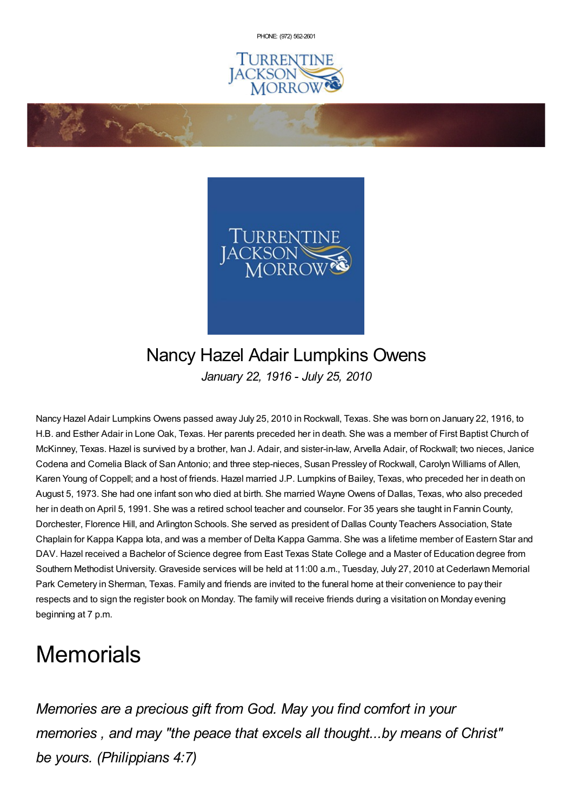PHONE: (972) [562-2601](tel:(972) 562-2601)





## Nancy Hazel Adair Lumpkins Owens *January 22, 1916 - July 25, 2010*

Nancy Hazel Adair Lumpkins Owens passed away July 25, 2010 in Rockwall, Texas. She was born on January 22, 1916, to H.B. and Esther Adair in Lone Oak, Texas. Her parents preceded her in death. She was a member of First Baptist Church of McKinney, Texas. Hazel is survived by a brother, Ivan J. Adair, and sister-in-law, Arvella Adair, of Rockwall; two nieces, Janice Codena and Comelia Black of San Antonio; and three step-nieces, Susan Pressley of Rockwall, Carolyn Williams of Allen, Karen Young of Coppell; and a host of friends. Hazel married J.P. Lumpkins of Bailey, Texas, who preceded her in death on August 5, 1973. She had one infant son who died at birth. She married Wayne Owens of Dallas, Texas, who also preceded her in death on April 5, 1991. She was a retired school teacher and counselor. For 35 years she taught in Fannin County, Dorchester, Florence Hill, and Arlington Schools. She served as president of Dallas County Teachers Association, State Chaplain for Kappa Kappa Iota, and was a member of Delta Kappa Gamma. She was a lifetime member of Eastern Star and DAV. Hazel received a Bachelor of Science degree from East Texas State College and a Master of Education degree from Southern Methodist University. Graveside services will be held at 11:00 a.m., Tuesday, July 27, 2010 at Cederlawn Memorial Park Cemetery in Sherman, Texas. Family and friends are invited to the funeral home at their convenience to pay their respects and to sign the register book on Monday. The family will receive friends during a visitation on Monday evening beginning at 7 p.m.

## **Memorials**

**Contractions** 

*Memories are a precious gift from God. May you find comfort in your memories , and may "the peace that excels all thought...by means of Christ" be yours. (Philippians 4:7)*